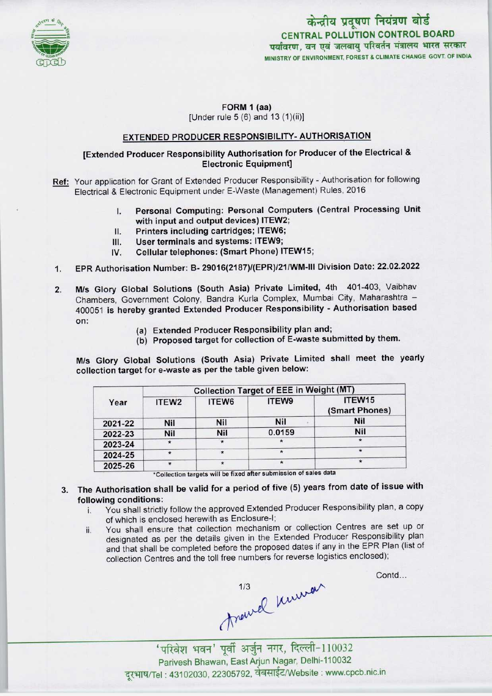

## केन्द्रीय प्रदूषण नियंत्रण बोर्ड CENTRAL POLLUTION CONTROL BOARD पर्यावरण. वन एवं जलवाय परिवर्तन मंत्रालय भारत सरकार MINISTRY OF ENVIRONMENT, FOREST & CLIMATE CHANGE GOVT. OF INDIA

#### FORM 1 (aa) [Under rule 5 (6) and 13 (1)(ii)]

### EXTENDED PRODUCER RESPONSIBILITY- AUTHORISATION

### [Extended Producer Responsibility Authorisation for Producer of the Electrical & Electronic Equipment]

- Ref: Your application for Grant of Extended Producer Responsibility Authorisation for following Electrical & Electronic Equipment under E-Waste (Management) Rules, 2016
	- Electronic Equipment under E-Waste (Management) Rules, 2016<br>I. Personal Computing: Personal Computers (Central Processing Unit<br>with input and output devices) ITEW? with input and output devices) ITEW2; I. Personal Computing: Personal Com<br>with input and output devices) ITEW2<br>II. Printers including cartridges; ITEW6;<br>II. Hear terminals and systems: ITEW9;
	-
	- II. Printers including cartridges; ITEW6;<br>III. User terminals and systems: ITEW9;<br>IV. Cellular telephones: (Smart Phone) IT
	- Cellular telephones: (Smart Phone) ITEW15;
- 1. EPR Authorisation Number: B- 29016(2187)/(EPR)/21/WM-lll Division Date: 22.02.2022
- M/s Glory Global Solutions (South Asia) Private Limited, 4th 401-403, Vaibhav Chambers, Government Colony, Bandra Kurla Complex, Mumbai City, Maharashtra -400051 is hereby granted Extended Producer Responsibility - Authorisation based on: 2.
	- (a)Extended Producer Responsibility plan and;
	- (b) Proposed target for collection of E-waste submitted by them.

M/s Glory Global Solutions (South Asia) Private Limited shall meet the yearly collection target for e-waste as per the table given below:

| Year    | <b>Collection Target of EEE in Weight (MT)</b> |                   |            |                          |
|---------|------------------------------------------------|-------------------|------------|--------------------------|
|         | ITEW <sub>2</sub>                              | ITEW <sub>6</sub> | ITEW9      | ITEW15<br>(Smart Phones) |
| 2021-22 | <b>Nil</b>                                     | <b>Nil</b>        | <b>Nil</b> | <b>Nil</b>               |
| 2022-23 | <b>Nil</b>                                     | Nil               | 0.0159     | <b>Nil</b>               |
| 2023-24 | $\star$                                        | $\rightarrow$     |            |                          |
| 2024-25 | $\star$                                        | ÷                 |            |                          |
| 2025-26 | *                                              |                   | $\star$    |                          |

\*Collection targets will be fixed after submission of sales data

# 3. The Authorisation shall be valid for a period of five (5) years from date of issue with following conditions:

- i. You shall strictly follow the approved Extended Producer Responsibility plan, <sup>a</sup> copy of which is enclosed herewith as Enclosure-I;
- ii. You shall ensure that collection mechanism or collection Centres are set up or designated as per the details given in the Extended Producer Responsibility plan and that shall be completed before the proposed dates if any in the EPR Plan (list of collection Centres and the toll free numbers for reverse logistics enclosed);

Contd...

\<br>maxwel maxwel my 110032

Parivesh Bhawan, EastArjun Nagar, Delhi-110032 दूरभाष/Tel: 43102030, 22305792, वेबसाईट/Website : www.cpcb.nic.in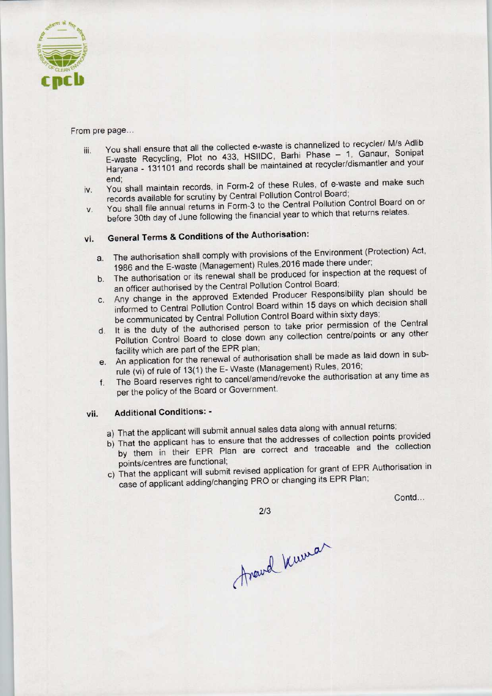

### From pre page...

- iii. You shall ensure that all the collected e-waste is channelized to recycler/ M/s Adlib You shall ensure that all the collected e-waste is channelized to recycler/ M/s Adlib<br>E-waste, Recycling, Plot no 433, HSIIDC, Barhi Phase - 1, Ganaur, Sonipat E-waste Recycling, Plot no 433, HSIIDC, Barhi Phase - 1, Ganaur, Sonipat<br>Haryana - 131101 and records shall be maintained at recycler/dismantler and your end; iv. You shall maintain records, in Form-2 of these Rules, of e-waste and make such
- records available for scrutiny by Central Pollution Control Board;
- iv. You shall maintain records, in Form-2 of these Rules, or e-matter and<br>records available for scrutiny by Central Pollution Control Board;<br>v. You shall file annual returns in Form-3 to the Central Pollution Control Board before 30th day of June following the financial year to which that returns relates.

# vi. General Terms & Conditions of the Authorisation:

- a. The authorisation shall comply with provisions of the Environment (Protection) Act, 1986 and the E-waste (Management) Rules,2016 made there under;
- b. The authorisation or its renewal shall be produced for inspection at the request of an officer authorised by the Central Pollution Control Board;
- c. Any change in the approved Extended Producer Responsibility plan should be informed to Central Pollution Control Board within 15 days on which decision shall be communicated by Central Pollution Control Board within sixty days;
- d. It is the duty of the authorised person to take prior permission of the Central Pollution Control Board to close down any collection centre/points or any other facility which are part of the EPR plan;
- e. An application for the renewal of authorisation shall be made as laid down in subrule (vi) of rule of 13(1) the E- Waste (Management) Rules, 2016;
- f. The Board reserves right to cancel/amend/revoke the authorisation at any time as per the policy of the Board or Government.

### vii. Additional Conditions: -

- a) That the applicant will submit annual sales data along with annual returns;
- b) That the applicant has to ensure that the addresses of collection points provided by them in their EPR Plan are correct and traceable and the collection
- points/centres are functional; c) That the applicant will submit revised application for grant of EPR Authorisation in case of applicant adding/changing PRO or changing its EPR Plan;

Contd...

 $2/3$ 

Avand Wuman